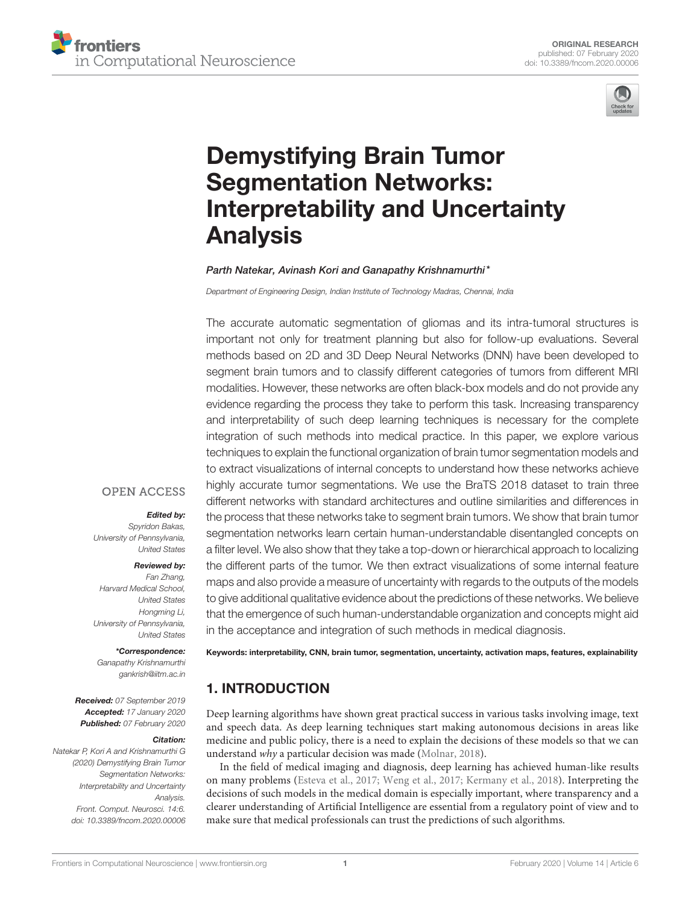



# Demystifying Brain Tumor Segmentation Networks: Interpretability and Uncertainty Analysis

#### Parth Natekar, Avinash Kori and Ganapathy Krishnamurthi\*

*Department of Engineering Design, Indian Institute of Technology Madras, Chennai, India*

The accurate automatic segmentation of gliomas and its intra-tumoral structures is important not only for treatment planning but also for follow-up evaluations. Several methods based on 2D and 3D Deep Neural Networks (DNN) have been developed to segment brain tumors and to classify different categories of tumors from different MRI modalities. However, these networks are often black-box models and do not provide any evidence regarding the process they take to perform this task. Increasing transparency and interpretability of such deep learning techniques is necessary for the complete integration of such methods into medical practice. In this paper, we explore various techniques to explain the functional organization of brain tumor segmentation models and to extract visualizations of internal concepts to understand how these networks achieve highly accurate tumor segmentations. We use the BraTS 2018 dataset to train three different networks with standard architectures and outline similarities and differences in the process that these networks take to segment brain tumors. We show that brain tumor segmentation networks learn certain human-understandable disentangled concepts on a filter level. We also show that they take a top-down or hierarchical approach to localizing the different parts of the tumor. We then extract visualizations of some internal feature maps and also provide a measure of uncertainty with regards to the outputs of the models to give additional qualitative evidence about the predictions of these networks. We believe that the emergence of such human-understandable organization and concepts might aid in the acceptance and integration of such methods in medical diagnosis.

## **OPEN ACCESS**

#### Edited by:

*Spyridon Bakas, University of Pennsylvania, United States*

#### Reviewed by:

*Fan Zhang, Harvard Medical School, United States Hongming Li, University of Pennsylvania, United States*

#### \*Correspondence:

*Ganapathy Krishnamurthi gankrish@iitm.ac.in*

Received: *07 September 2019* Accepted: *17 January 2020* Published: *07 February 2020*

#### Citation:

*Natekar P, Kori A and Krishnamurthi G (2020) Demystifying Brain Tumor Segmentation Networks: Interpretability and Uncertainty Analysis. Front. Comput. Neurosci. 14:6. doi: 10.3389/fncom.2020.00006* Keywords: interpretability, CNN, brain tumor, segmentation, uncertainty, activation maps, features, explainability

# 1. INTRODUCTION

Deep learning algorithms have shown great practical success in various tasks involving image, text and speech data. As deep learning techniques start making autonomous decisions in areas like medicine and public policy, there is a need to explain the decisions of these models so that we can understand why a particular decision was made (Molnar, 2018).

In the field of medical imaging and diagnosis, deep learning has achieved human-like results on many problems (Esteva et al., 2017; Weng et al., 2017; Kermany et al., 2018). Interpreting the decisions of such models in the medical domain is especially important, where transparency and a clearer understanding of Artificial Intelligence are essential from a regulatory point of view and to make sure that medical professionals can trust the predictions of such algorithms.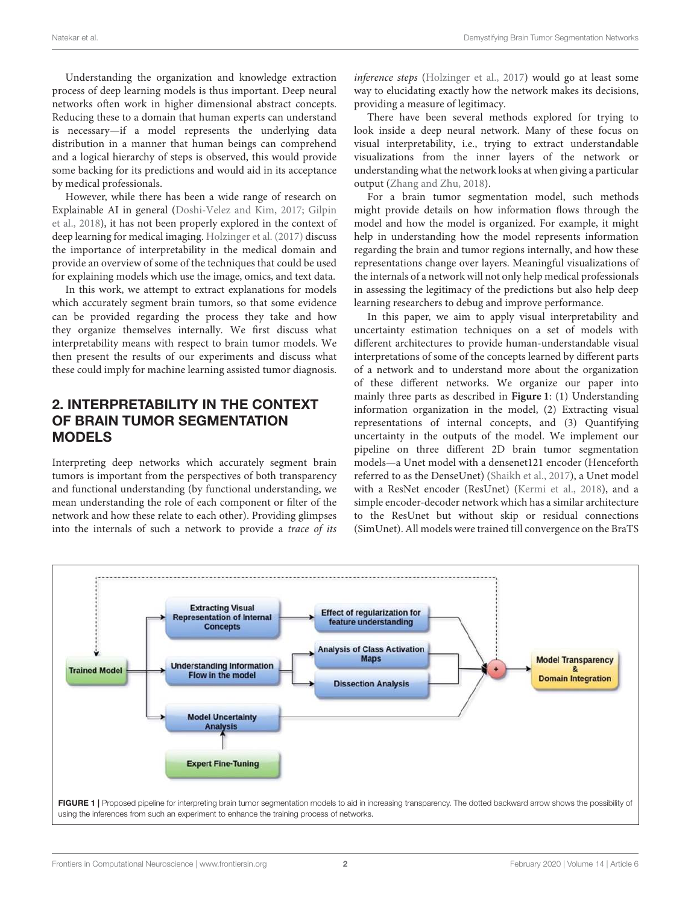Understanding the organization and knowledge extraction process of deep learning models is thus important. Deep neural networks often work in higher dimensional abstract concepts. Reducing these to a domain that human experts can understand is necessary—if a model represents the underlying data distribution in a manner that human beings can comprehend and a logical hierarchy of steps is observed, this would provide some backing for its predictions and would aid in its acceptance by medical professionals.

However, while there has been a wide range of research on Explainable AI in general (Doshi-Velez and Kim, 2017; Gilpin et al., 2018), it has not been properly explored in the context of deep learning for medical imaging. Holzinger et al. (2017) discuss the importance of interpretability in the medical domain and provide an overview of some of the techniques that could be used for explaining models which use the image, omics, and text data.

In this work, we attempt to extract explanations for models which accurately segment brain tumors, so that some evidence can be provided regarding the process they take and how they organize themselves internally. We first discuss what interpretability means with respect to brain tumor models. We then present the results of our experiments and discuss what these could imply for machine learning assisted tumor diagnosis.

## 2. INTERPRETABILITY IN THE CONTEXT OF BRAIN TUMOR SEGMENTATION MODELS

Interpreting deep networks which accurately segment brain tumors is important from the perspectives of both transparency and functional understanding (by functional understanding, we mean understanding the role of each component or filter of the network and how these relate to each other). Providing glimpses into the internals of such a network to provide a trace of its inference steps (Holzinger et al., 2017) would go at least some way to elucidating exactly how the network makes its decisions, providing a measure of legitimacy.

There have been several methods explored for trying to look inside a deep neural network. Many of these focus on visual interpretability, i.e., trying to extract understandable visualizations from the inner layers of the network or understanding what the network looks at when giving a particular output (Zhang and Zhu, 2018).

For a brain tumor segmentation model, such methods might provide details on how information flows through the model and how the model is organized. For example, it might help in understanding how the model represents information regarding the brain and tumor regions internally, and how these representations change over layers. Meaningful visualizations of the internals of a network will not only help medical professionals in assessing the legitimacy of the predictions but also help deep learning researchers to debug and improve performance.

In this paper, we aim to apply visual interpretability and uncertainty estimation techniques on a set of models with different architectures to provide human-understandable visual interpretations of some of the concepts learned by different parts of a network and to understand more about the organization of these different networks. We organize our paper into mainly three parts as described in **Figure 1**: (1) Understanding information organization in the model, (2) Extracting visual representations of internal concepts, and (3) Quantifying uncertainty in the outputs of the model. We implement our pipeline on three different 2D brain tumor segmentation models—a Unet model with a densenet121 encoder (Henceforth referred to as the DenseUnet) (Shaikh et al., 2017), a Unet model with a ResNet encoder (ResUnet) (Kermi et al., 2018), and a simple encoder-decoder network which has a similar architecture to the ResUnet but without skip or residual connections (SimUnet). All models were trained till convergence on the BraTS

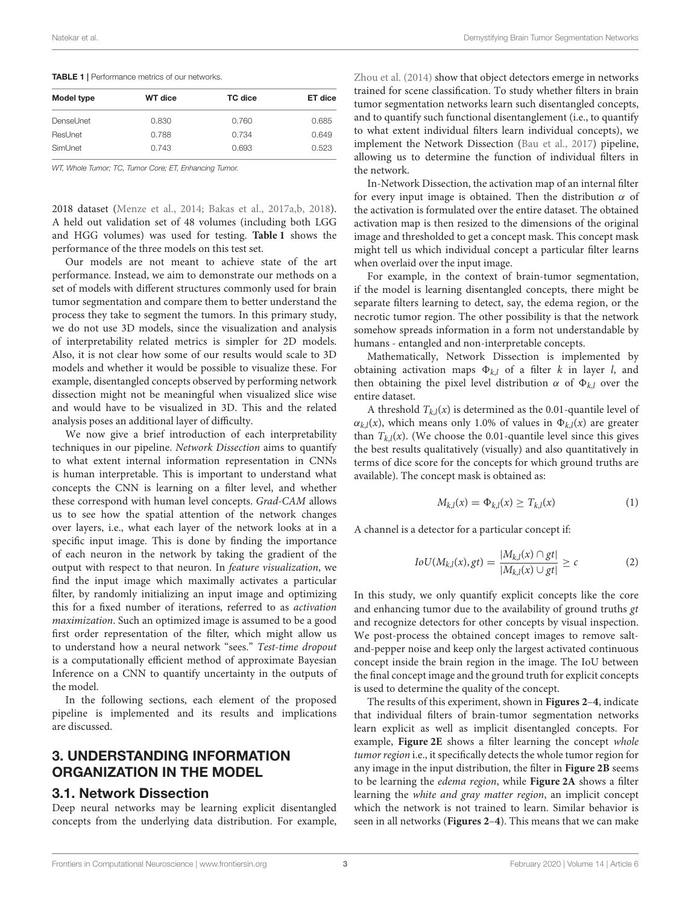| <b>WT</b> dice | TC dice | ET dice |
|----------------|---------|---------|
| 0.830          | 0.760   | 0.685   |
| 0.788          | 0.734   | 0.649   |
| 0.743          | 0.693   | 0.523   |
|                |         |         |

*WT, Whole Tumor; TC, Tumor Core; ET, Enhancing Tumor.*

2018 dataset (Menze et al., 2014; Bakas et al., 2017a,b, 2018). A held out validation set of 48 volumes (including both LGG and HGG volumes) was used for testing. **Table 1** shows the performance of the three models on this test set.

Our models are not meant to achieve state of the art performance. Instead, we aim to demonstrate our methods on a set of models with different structures commonly used for brain tumor segmentation and compare them to better understand the process they take to segment the tumors. In this primary study, we do not use 3D models, since the visualization and analysis of interpretability related metrics is simpler for 2D models. Also, it is not clear how some of our results would scale to 3D models and whether it would be possible to visualize these. For example, disentangled concepts observed by performing network dissection might not be meaningful when visualized slice wise and would have to be visualized in 3D. This and the related analysis poses an additional layer of difficulty.

We now give a brief introduction of each interpretability techniques in our pipeline. Network Dissection aims to quantify to what extent internal information representation in CNNs is human interpretable. This is important to understand what concepts the CNN is learning on a filter level, and whether these correspond with human level concepts. Grad-CAM allows us to see how the spatial attention of the network changes over layers, i.e., what each layer of the network looks at in a specific input image. This is done by finding the importance of each neuron in the network by taking the gradient of the output with respect to that neuron. In feature visualization, we find the input image which maximally activates a particular filter, by randomly initializing an input image and optimizing this for a fixed number of iterations, referred to as activation maximization. Such an optimized image is assumed to be a good first order representation of the filter, which might allow us to understand how a neural network "sees." Test-time dropout is a computationally efficient method of approximate Bayesian Inference on a CNN to quantify uncertainty in the outputs of the model.

In the following sections, each element of the proposed pipeline is implemented and its results and implications are discussed.

### 3. UNDERSTANDING INFORMATION ORGANIZATION IN THE MODEL

#### 3.1. Network Dissection

Deep neural networks may be learning explicit disentangled concepts from the underlying data distribution. For example, Zhou et al. (2014) show that object detectors emerge in networks trained for scene classification. To study whether filters in brain tumor segmentation networks learn such disentangled concepts, and to quantify such functional disentanglement (i.e., to quantify to what extent individual filters learn individual concepts), we implement the Network Dissection (Bau et al., 2017) pipeline, allowing us to determine the function of individual filters in the network.

In-Network Dissection, the activation map of an internal filter for every input image is obtained. Then the distribution  $\alpha$  of the activation is formulated over the entire dataset. The obtained activation map is then resized to the dimensions of the original image and thresholded to get a concept mask. This concept mask might tell us which individual concept a particular filter learns when overlaid over the input image.

For example, in the context of brain-tumor segmentation, if the model is learning disentangled concepts, there might be separate filters learning to detect, say, the edema region, or the necrotic tumor region. The other possibility is that the network somehow spreads information in a form not understandable by humans - entangled and non-interpretable concepts.

Mathematically, Network Dissection is implemented by obtaining activation maps  $\Phi_{k,l}$  of a filter k in layer l, and then obtaining the pixel level distribution  $\alpha$  of  $\Phi_{kl}$  over the entire dataset.

A threshold  $T_{k,l}(x)$  is determined as the 0.01-quantile level of  $\alpha_{k,l}(x)$ , which means only 1.0% of values in  $\Phi_{k,l}(x)$  are greater than  $T_{k,l}(x)$ . (We choose the 0.01-quantile level since this gives the best results qualitatively (visually) and also quantitatively in terms of dice score for the concepts for which ground truths are available). The concept mask is obtained as:

$$
M_{k,l}(x) = \Phi_{k,l}(x) \ge T_{k,l}(x)
$$
 (1)

A channel is a detector for a particular concept if:

$$
IoU(M_{k,l}(x), gt) = \frac{|M_{k,l}(x) \cap gt|}{|M_{k,l}(x) \cup gt|} \ge c
$$
 (2)

In this study, we only quantify explicit concepts like the core and enhancing tumor due to the availability of ground truths  $gt$ and recognize detectors for other concepts by visual inspection. We post-process the obtained concept images to remove saltand-pepper noise and keep only the largest activated continuous concept inside the brain region in the image. The IoU between the final concept image and the ground truth for explicit concepts is used to determine the quality of the concept.

The results of this experiment, shown in **Figures 2**–**4**, indicate that individual filters of brain-tumor segmentation networks learn explicit as well as implicit disentangled concepts. For example, **Figure 2E** shows a filter learning the concept whole tumor region i.e., it specifically detects the whole tumor region for any image in the input distribution, the filter in **Figure 2B** seems to be learning the edema region, while **Figure 2A** shows a filter learning the white and gray matter region, an implicit concept which the network is not trained to learn. Similar behavior is seen in all networks (**Figures 2**–**4**). This means that we can make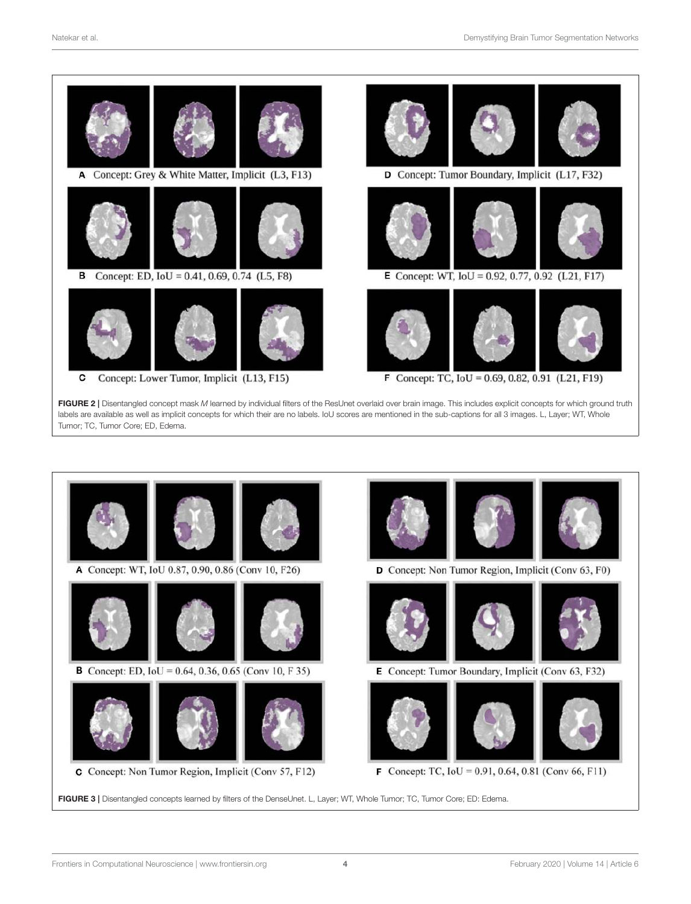

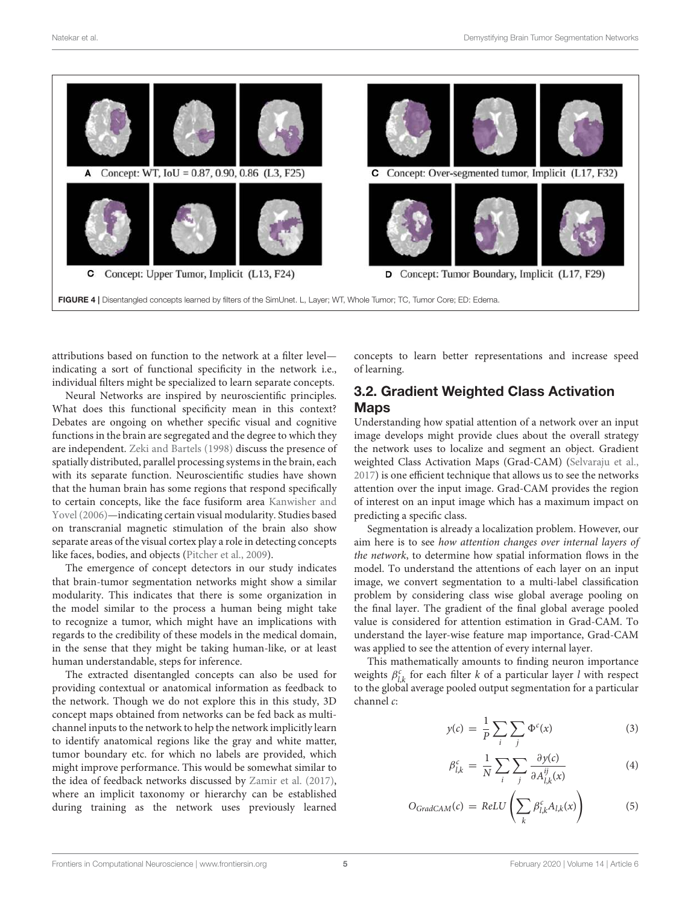

attributions based on function to the network at a filter level indicating a sort of functional specificity in the network i.e., individual filters might be specialized to learn separate concepts.

Neural Networks are inspired by neuroscientific principles. What does this functional specificity mean in this context? Debates are ongoing on whether specific visual and cognitive functions in the brain are segregated and the degree to which they are independent. Zeki and Bartels (1998) discuss the presence of spatially distributed, parallel processing systems in the brain, each with its separate function. Neuroscientific studies have shown that the human brain has some regions that respond specifically to certain concepts, like the face fusiform area Kanwisher and Yovel (2006)—indicating certain visual modularity. Studies based on transcranial magnetic stimulation of the brain also show separate areas of the visual cortex play a role in detecting concepts like faces, bodies, and objects (Pitcher et al., 2009).

The emergence of concept detectors in our study indicates that brain-tumor segmentation networks might show a similar modularity. This indicates that there is some organization in the model similar to the process a human being might take to recognize a tumor, which might have an implications with regards to the credibility of these models in the medical domain, in the sense that they might be taking human-like, or at least human understandable, steps for inference.

The extracted disentangled concepts can also be used for providing contextual or anatomical information as feedback to the network. Though we do not explore this in this study, 3D concept maps obtained from networks can be fed back as multichannel inputs to the network to help the network implicitly learn to identify anatomical regions like the gray and white matter, tumor boundary etc. for which no labels are provided, which might improve performance. This would be somewhat similar to the idea of feedback networks discussed by Zamir et al. (2017), where an implicit taxonomy or hierarchy can be established during training as the network uses previously learned concepts to learn better representations and increase speed of learning.

## 3.2. Gradient Weighted Class Activation **Maps**

Understanding how spatial attention of a network over an input image develops might provide clues about the overall strategy the network uses to localize and segment an object. Gradient weighted Class Activation Maps (Grad-CAM) (Selvaraju et al., 2017) is one efficient technique that allows us to see the networks attention over the input image. Grad-CAM provides the region of interest on an input image which has a maximum impact on predicting a specific class.

Segmentation is already a localization problem. However, our aim here is to see how attention changes over internal layers of the network, to determine how spatial information flows in the model. To understand the attentions of each layer on an input image, we convert segmentation to a multi-label classification problem by considering class wise global average pooling on the final layer. The gradient of the final global average pooled value is considered for attention estimation in Grad-CAM. To understand the layer-wise feature map importance, Grad-CAM was applied to see the attention of every internal layer.

This mathematically amounts to finding neuron importance weights  $\beta_{l,k}^c$  for each filter k of a particular layer l with respect to the global average pooled output segmentation for a particular channel c:

$$
y(c) = \frac{1}{P} \sum_{i} \sum_{j} \Phi^{c}(x)
$$
 (3)

$$
\beta_{l,k}^c = \frac{1}{N} \sum_{i} \sum_{j} \frac{\partial y(c)}{\partial A_{l,k}^{ij}(x)} \tag{4}
$$

$$
O_{GradCAM}(c) = ReLU\left(\sum_{k} \beta_{l,k}^c A_{l,k}(x)\right) \tag{5}
$$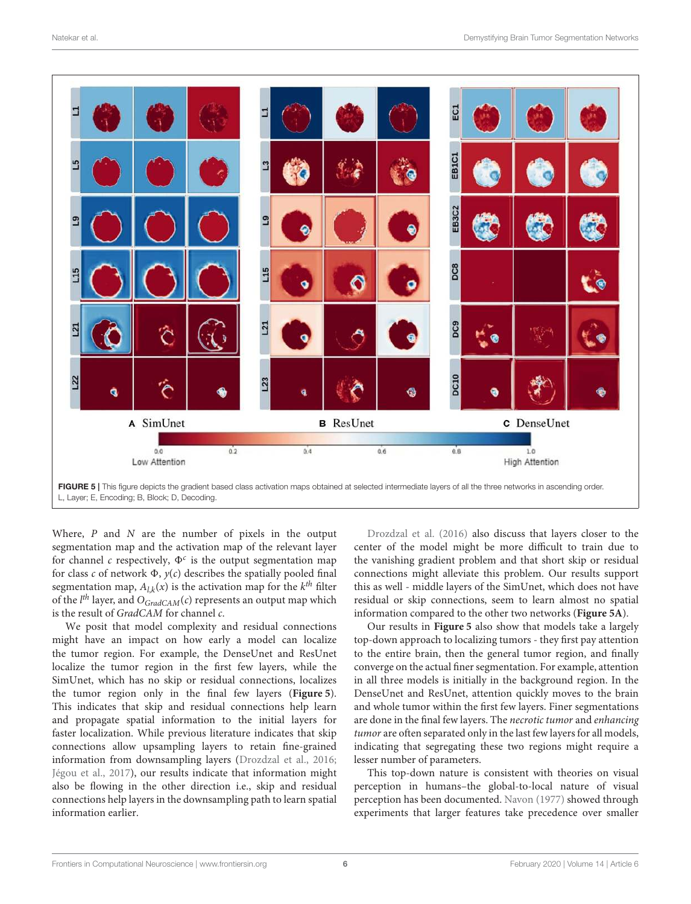

Where,  $P$  and  $N$  are the number of pixels in the output segmentation map and the activation map of the relevant layer for channel c respectively,  $\Phi^c$  is the output segmentation map for class  $c$  of network  $\Phi$ ,  $y(c)$  describes the spatially pooled final segmentation map,  $A_{l,k}(x)$  is the activation map for the  $k^{th}$  filter of the  $l^{th}$  layer, and  $O_{GradCAM}(c)$  represents an output map which is the result of GradCAM for channel c.

We posit that model complexity and residual connections might have an impact on how early a model can localize the tumor region. For example, the DenseUnet and ResUnet localize the tumor region in the first few layers, while the SimUnet, which has no skip or residual connections, localizes the tumor region only in the final few layers (**Figure 5**). This indicates that skip and residual connections help learn and propagate spatial information to the initial layers for faster localization. While previous literature indicates that skip connections allow upsampling layers to retain fine-grained information from downsampling layers (Drozdzal et al., 2016; Jégou et al., 2017), our results indicate that information might also be flowing in the other direction i.e., skip and residual connections help layers in the downsampling path to learn spatial information earlier.

Drozdzal et al. (2016) also discuss that layers closer to the center of the model might be more difficult to train due to the vanishing gradient problem and that short skip or residual connections might alleviate this problem. Our results support this as well - middle layers of the SimUnet, which does not have residual or skip connections, seem to learn almost no spatial information compared to the other two networks (**Figure 5A**).

Our results in **Figure 5** also show that models take a largely top-down approach to localizing tumors - they first pay attention to the entire brain, then the general tumor region, and finally converge on the actual finer segmentation. For example, attention in all three models is initially in the background region. In the DenseUnet and ResUnet, attention quickly moves to the brain and whole tumor within the first few layers. Finer segmentations are done in the final few layers. The necrotic tumor and enhancing tumor are often separated only in the last few layers for all models, indicating that segregating these two regions might require a lesser number of parameters.

This top-down nature is consistent with theories on visual perception in humans–the global-to-local nature of visual perception has been documented. Navon (1977) showed through experiments that larger features take precedence over smaller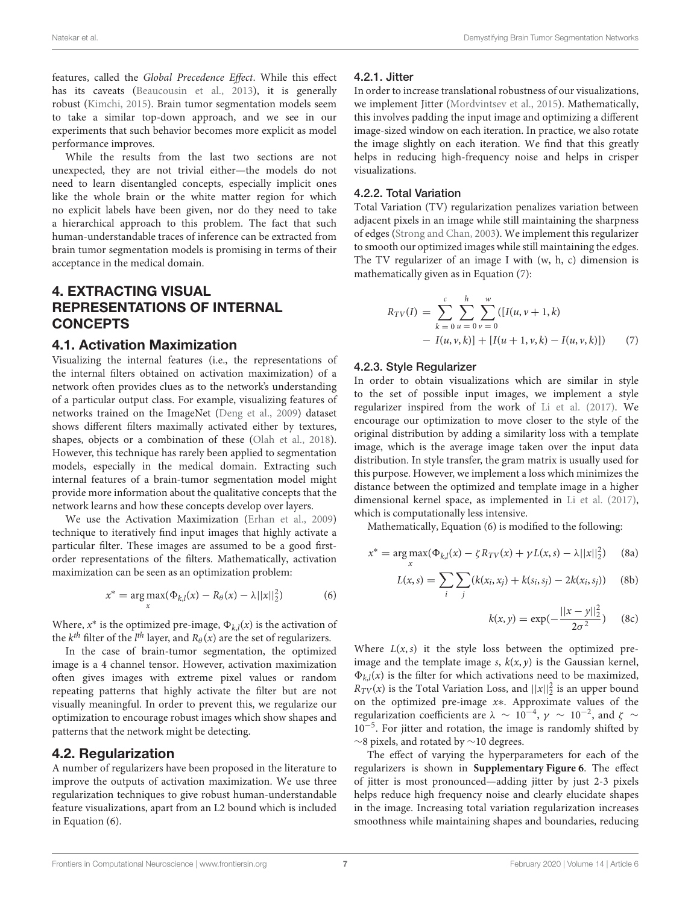features, called the Global Precedence Effect. While this effect has its caveats (Beaucousin et al., 2013), it is generally robust (Kimchi, 2015). Brain tumor segmentation models seem to take a similar top-down approach, and we see in our experiments that such behavior becomes more explicit as model performance improves.

While the results from the last two sections are not unexpected, they are not trivial either—the models do not need to learn disentangled concepts, especially implicit ones like the whole brain or the white matter region for which no explicit labels have been given, nor do they need to take a hierarchical approach to this problem. The fact that such human-understandable traces of inference can be extracted from brain tumor segmentation models is promising in terms of their acceptance in the medical domain.

## 4. EXTRACTING VISUAL REPRESENTATIONS OF INTERNAL **CONCEPTS**

#### 4.1. Activation Maximization

Visualizing the internal features (i.e., the representations of the internal filters obtained on activation maximization) of a network often provides clues as to the network's understanding of a particular output class. For example, visualizing features of networks trained on the ImageNet (Deng et al., 2009) dataset shows different filters maximally activated either by textures, shapes, objects or a combination of these (Olah et al., 2018). However, this technique has rarely been applied to segmentation models, especially in the medical domain. Extracting such internal features of a brain-tumor segmentation model might provide more information about the qualitative concepts that the network learns and how these concepts develop over layers.

We use the Activation Maximization (Erhan et al., 2009) technique to iteratively find input images that highly activate a particular filter. These images are assumed to be a good firstorder representations of the filters. Mathematically, activation maximization can be seen as an optimization problem:

$$
x^* = \underset{x}{\arg \max} (\Phi_{k,l}(x) - R_{\theta}(x) - \lambda ||x||_2^2)
$$
 (6)

Where,  $x^*$  is the optimized pre-image,  $\Phi_{k,l}(x)$  is the activation of the  $k^{th}$  filter of the  $l^{th}$  layer, and  $R_{\theta}(x)$  are the set of regularizers.

In the case of brain-tumor segmentation, the optimized image is a 4 channel tensor. However, activation maximization often gives images with extreme pixel values or random repeating patterns that highly activate the filter but are not visually meaningful. In order to prevent this, we regularize our optimization to encourage robust images which show shapes and patterns that the network might be detecting.

#### 4.2. Regularization

A number of regularizers have been proposed in the literature to improve the outputs of activation maximization. We use three regularization techniques to give robust human-understandable feature visualizations, apart from an L2 bound which is included in Equation (6).

#### 4.2.1. Jitter

In order to increase translational robustness of our visualizations, we implement Jitter (Mordvintsev et al., 2015). Mathematically, this involves padding the input image and optimizing a different image-sized window on each iteration. In practice, we also rotate the image slightly on each iteration. We find that this greatly helps in reducing high-frequency noise and helps in crisper visualizations.

#### 4.2.2. Total Variation

Total Variation (TV) regularization penalizes variation between adjacent pixels in an image while still maintaining the sharpness of edges (Strong and Chan, 2003). We implement this regularizer to smooth our optimized images while still maintaining the edges. The TV regularizer of an image I with (w, h, c) dimension is mathematically given as in Equation (7):

$$
R_{TV}(I) = \sum_{k=0}^{c} \sum_{u=0}^{h} \sum_{v=0}^{w} ([I(u, v+1, k)] - I(u, v, k)] + [I(u+1, v, k) - I(u, v, k)]) \tag{7}
$$

#### 4.2.3. Style Regularizer

 $\mathfrak{I}$ 

In order to obtain visualizations which are similar in style to the set of possible input images, we implement a style regularizer inspired from the work of Li et al. (2017). We encourage our optimization to move closer to the style of the original distribution by adding a similarity loss with a template image, which is the average image taken over the input data distribution. In style transfer, the gram matrix is usually used for this purpose. However, we implement a loss which minimizes the distance between the optimized and template image in a higher dimensional kernel space, as implemented in Li et al. (2017), which is computationally less intensive.

Mathematically, Equation (6) is modified to the following:

$$
x^* = \underset{x}{\arg \max} (\Phi_{k,l}(x) - \zeta R_{TV}(x) + \gamma L(x, s) - \lambda ||x||_2^2)
$$
 (8a)

$$
L(x, s) = \sum_{i} \sum_{j} (k(x_i, x_j) + k(s_i, s_j) - 2k(x_i, s_j))
$$
 (8b)

$$
k(x, y) = \exp(-\frac{||x - y||_2^2}{2\sigma^2})
$$
 (8c)

Where  $L(x, s)$  it the style loss between the optimized preimage and the template image s,  $k(x, y)$  is the Gaussian kernel,  $\Phi_{k,l}(x)$  is the filter for which activations need to be maximized,  $R_{TV}(x)$  is the Total Variation Loss, and  $||x||_2^2$  is an upper bound on the optimized pre-image x∗. Approximate values of the regularization coefficients are  $\lambda \sim 10^{-4}$ ,  $\gamma \sim 10^{-2}$ , and  $\zeta \sim$ 10−<sup>5</sup> . For jitter and rotation, the image is randomly shifted by ∼8 pixels, and rotated by ∼10 degrees.

The effect of varying the hyperparameters for each of the regularizers is shown in **Supplementary Figure 6**. The effect of jitter is most pronounced—adding jitter by just 2-3 pixels helps reduce high frequency noise and clearly elucidate shapes in the image. Increasing total variation regularization increases smoothness while maintaining shapes and boundaries, reducing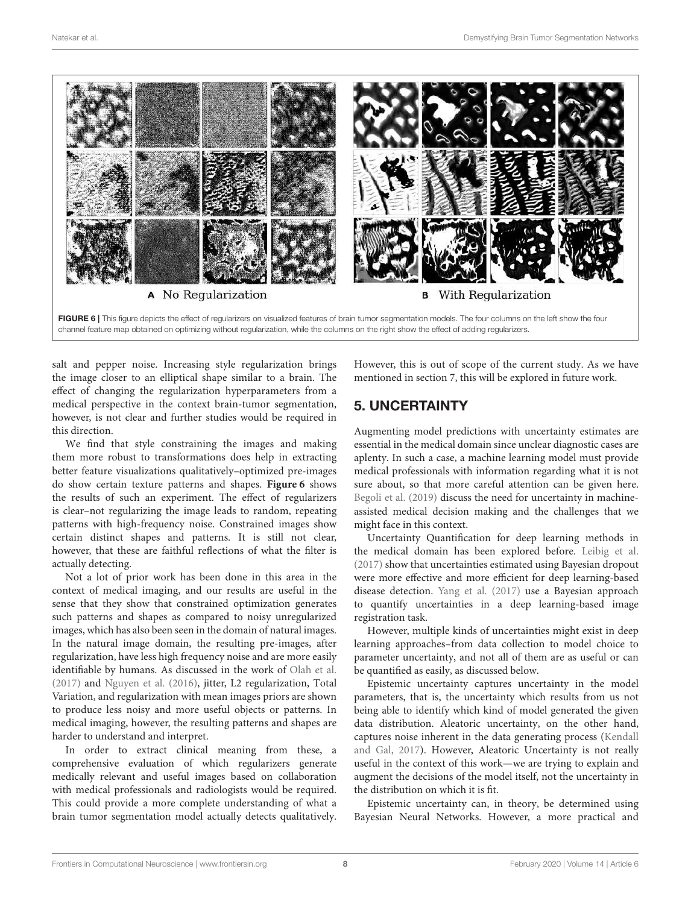

FIGURE 6 | This figure depicts the effect of regularizers on visualized features of brain tumor segmentation models. The four columns on the left show the four channel feature map obtained on optimizing without regularization, while the columns on the right show the effect of adding regularizers.

salt and pepper noise. Increasing style regularization brings the image closer to an elliptical shape similar to a brain. The effect of changing the regularization hyperparameters from a medical perspective in the context brain-tumor segmentation, however, is not clear and further studies would be required in this direction.

We find that style constraining the images and making them more robust to transformations does help in extracting better feature visualizations qualitatively–optimized pre-images do show certain texture patterns and shapes. **Figure 6** shows the results of such an experiment. The effect of regularizers is clear–not regularizing the image leads to random, repeating patterns with high-frequency noise. Constrained images show certain distinct shapes and patterns. It is still not clear, however, that these are faithful reflections of what the filter is actually detecting.

Not a lot of prior work has been done in this area in the context of medical imaging, and our results are useful in the sense that they show that constrained optimization generates such patterns and shapes as compared to noisy unregularized images, which has also been seen in the domain of natural images. In the natural image domain, the resulting pre-images, after regularization, have less high frequency noise and are more easily identifiable by humans. As discussed in the work of Olah et al. (2017) and Nguyen et al. (2016), jitter, L2 regularization, Total Variation, and regularization with mean images priors are shown to produce less noisy and more useful objects or patterns. In medical imaging, however, the resulting patterns and shapes are harder to understand and interpret.

In order to extract clinical meaning from these, a comprehensive evaluation of which regularizers generate medically relevant and useful images based on collaboration with medical professionals and radiologists would be required. This could provide a more complete understanding of what a brain tumor segmentation model actually detects qualitatively.

However, this is out of scope of the current study. As we have mentioned in section 7, this will be explored in future work.

# 5. UNCERTAINTY

Augmenting model predictions with uncertainty estimates are essential in the medical domain since unclear diagnostic cases are aplenty. In such a case, a machine learning model must provide medical professionals with information regarding what it is not sure about, so that more careful attention can be given here. Begoli et al. (2019) discuss the need for uncertainty in machineassisted medical decision making and the challenges that we might face in this context.

Uncertainty Quantification for deep learning methods in the medical domain has been explored before. Leibig et al. (2017) show that uncertainties estimated using Bayesian dropout were more effective and more efficient for deep learning-based disease detection. Yang et al. (2017) use a Bayesian approach to quantify uncertainties in a deep learning-based image registration task.

However, multiple kinds of uncertainties might exist in deep learning approaches–from data collection to model choice to parameter uncertainty, and not all of them are as useful or can be quantified as easily, as discussed below.

Epistemic uncertainty captures uncertainty in the model parameters, that is, the uncertainty which results from us not being able to identify which kind of model generated the given data distribution. Aleatoric uncertainty, on the other hand, captures noise inherent in the data generating process (Kendall and Gal, 2017). However, Aleatoric Uncertainty is not really useful in the context of this work—we are trying to explain and augment the decisions of the model itself, not the uncertainty in the distribution on which it is fit.

Epistemic uncertainty can, in theory, be determined using Bayesian Neural Networks. However, a more practical and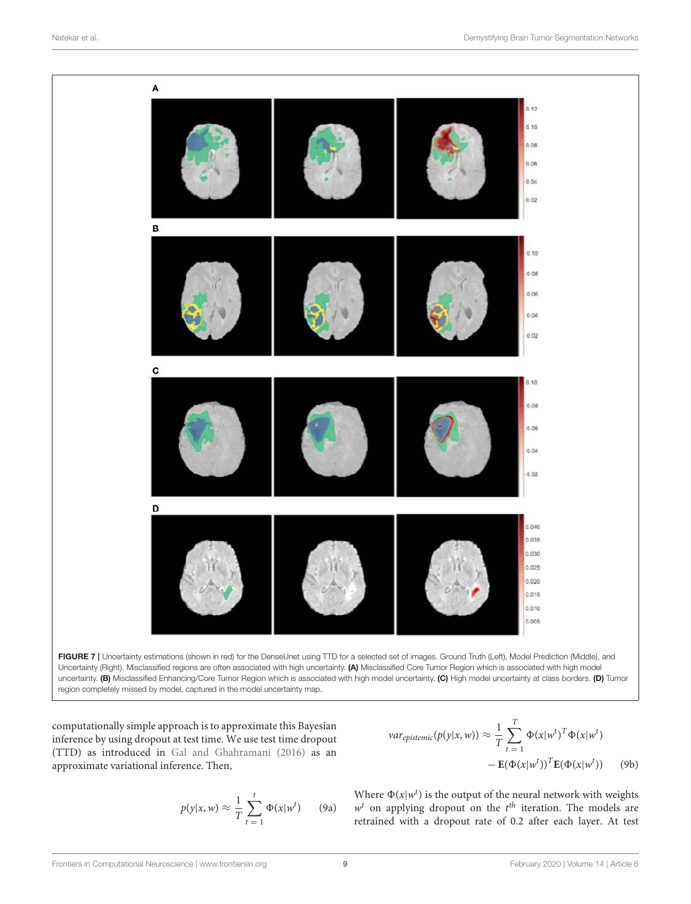

Uncertainty (Right). Misclassified regions are often associated with high uncertainty. (A) Misclassified Core Tumor Region which is associated with high model uncertainty. (B) Misclassified Enhancing/Core Tumor Region which is associated with high model uncertainty. (C) High model uncertainty at class borders. (D) Tumor region completely missed by model, captured in the model uncertainty map.

computationally simple approach is to approximate this Bayesian inference by using dropout at test time. We use test time dropout (TTD) as introduced in Gal and Ghahramani (2016) as an approximate variational inference. Then,

$$
p(y|x, w) \approx \frac{1}{T} \sum_{t=1}^{t} \Phi(x|w^t)
$$
 (9a)

$$
var_{epistemic}(p(y|x, w)) \approx \frac{1}{T} \sum_{t=1}^{T} \Phi(x|w^t)^T \Phi(x|w^t)
$$

$$
- \mathbf{E}(\Phi(x|w^t))^T \mathbf{E}(\Phi(x|w^t)) \qquad (9b)
$$

Where  $\Phi(x|w^t)$  is the output of the neural network with weights  $w<sup>t</sup>$  on applying dropout on the  $t<sup>th</sup>$  iteration. The models are retrained with a dropout rate of 0.2 after each layer. At test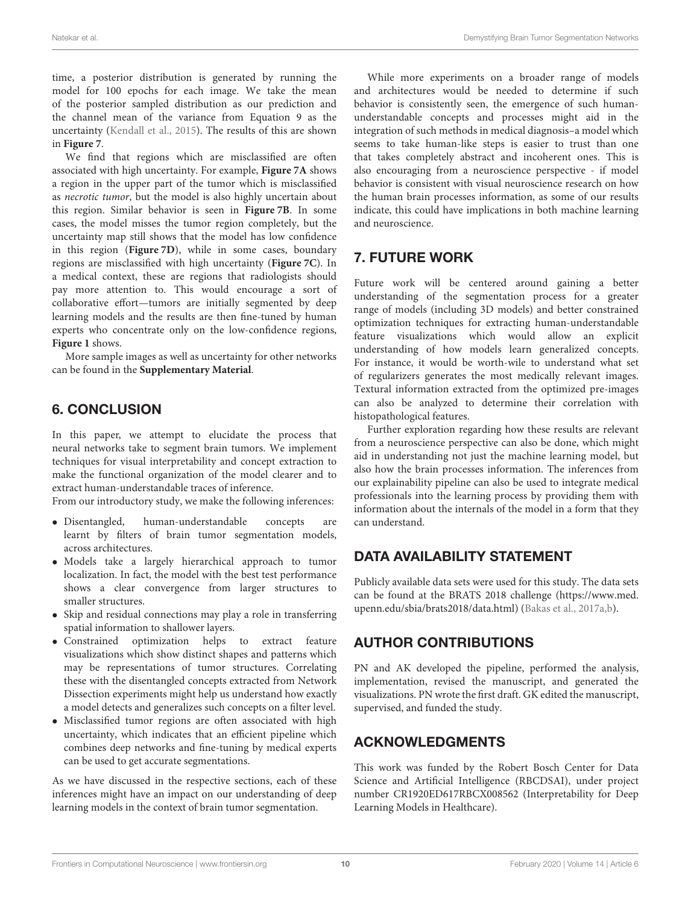time, a posterior distribution is generated by running the model for 100 epochs for each image. We take the mean of the posterior sampled distribution as our prediction and the channel mean of the variance from Equation 9 as the uncertainty (Kendall et al., 2015). The results of this are shown in **Figure 7**.

We find that regions which are misclassified are often associated with high uncertainty. For example, **Figure 7A** shows a region in the upper part of the tumor which is misclassified as necrotic tumor, but the model is also highly uncertain about this region. Similar behavior is seen in **Figure 7B**. In some cases, the model misses the tumor region completely, but the uncertainty map still shows that the model has low confidence in this region (**Figure 7D**), while in some cases, boundary regions are misclassified with high uncertainty (**Figure 7C**). In a medical context, these are regions that radiologists should pay more attention to. This would encourage a sort of collaborative effort—tumors are initially segmented by deep learning models and the results are then fine-tuned by human experts who concentrate only on the low-confidence regions, **Figure 1** shows.

More sample images as well as uncertainty for other networks can be found in the **Supplementary Material**.

# 6. CONCLUSION

In this paper, we attempt to elucidate the process that neural networks take to segment brain tumors. We implement techniques for visual interpretability and concept extraction to make the functional organization of the model clearer and to extract human-understandable traces of inference.

From our introductory study, we make the following inferences:

- Disentangled, human-understandable concepts are learnt by filters of brain tumor segmentation models, across architectures.
- Models take a largely hierarchical approach to tumor localization. In fact, the model with the best test performance shows a clear convergence from larger structures to smaller structures.
- Skip and residual connections may play a role in transferring spatial information to shallower layers.
- Constrained optimization helps to extract feature visualizations which show distinct shapes and patterns which may be representations of tumor structures. Correlating these with the disentangled concepts extracted from Network Dissection experiments might help us understand how exactly a model detects and generalizes such concepts on a filter level.
- Misclassified tumor regions are often associated with high uncertainty, which indicates that an efficient pipeline which combines deep networks and fine-tuning by medical experts can be used to get accurate segmentations.

As we have discussed in the respective sections, each of these inferences might have an impact on our understanding of deep learning models in the context of brain tumor segmentation.

While more experiments on a broader range of models and architectures would be needed to determine if such behavior is consistently seen, the emergence of such humanunderstandable concepts and processes might aid in the integration of such methods in medical diagnosis–a model which seems to take human-like steps is easier to trust than one that takes completely abstract and incoherent ones. This is also encouraging from a neuroscience perspective - if model behavior is consistent with visual neuroscience research on how the human brain processes information, as some of our results indicate, this could have implications in both machine learning and neuroscience.

# 7. FUTURE WORK

Future work will be centered around gaining a better understanding of the segmentation process for a greater range of models (including 3D models) and better constrained optimization techniques for extracting human-understandable feature visualizations which would allow an explicit understanding of how models learn generalized concepts. For instance, it would be worth-wile to understand what set of regularizers generates the most medically relevant images. Textural information extracted from the optimized pre-images can also be analyzed to determine their correlation with histopathological features.

Further exploration regarding how these results are relevant from a neuroscience perspective can also be done, which might aid in understanding not just the machine learning model, but also how the brain processes information. The inferences from our explainability pipeline can also be used to integrate medical professionals into the learning process by providing them with information about the internals of the model in a form that they can understand.

# DATA AVAILABILITY STATEMENT

Publicly available data sets were used for this study. The data sets can be found at the BRATS 2018 challenge (https://www.med. upenn.edu/sbia/brats2018/data.html) (Bakas et al., 2017a,b).

# AUTHOR CONTRIBUTIONS

PN and AK developed the pipeline, performed the analysis, implementation, revised the manuscript, and generated the visualizations. PN wrote the first draft. GK edited the manuscript, supervised, and funded the study.

# ACKNOWLEDGMENTS

This work was funded by the Robert Bosch Center for Data Science and Artificial Intelligence (RBCDSAI), under project number CR1920ED617RBCX008562 (Interpretability for Deep Learning Models in Healthcare).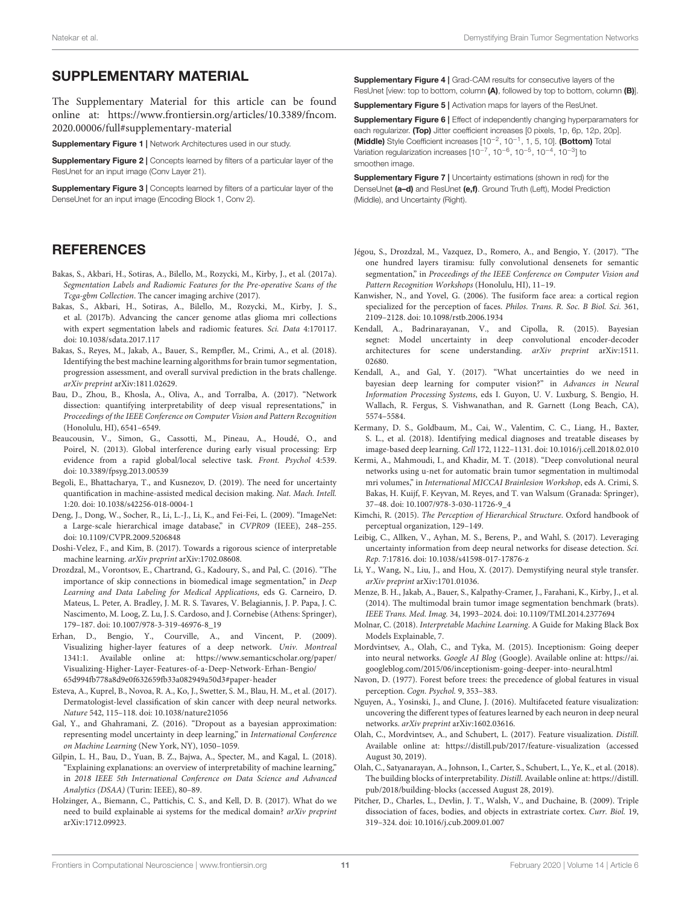## SUPPLEMENTARY MATERIAL

The Supplementary Material for this article can be found online at: https://www.frontiersin.org/articles/10.3389/fncom. 2020.00006/full#supplementary-material

Supplementary Figure 1 | Network Architectures used in our study.

**Supplementary Figure 2 | Concepts learned by filters of a particular layer of the** ResUnet for an input image (Conv Layer 21).

Supplementary Figure 3 | Concepts learned by filters of a particular layer of the DenseUnet for an input image (Encoding Block 1, Conv 2).

## **REFERENCES**

- Bakas, S., Akbari, H., Sotiras, A., Bilello, M., Rozycki, M., Kirby, J., et al. (2017a). Segmentation Labels and Radiomic Features for the Pre-operative Scans of the Tcga-gbm Collection. The cancer imaging archive (2017).
- Bakas, S., Akbari, H., Sotiras, A., Bilello, M., Rozycki, M., Kirby, J. S., et al. (2017b). Advancing the cancer genome atlas glioma mri collections with expert segmentation labels and radiomic features. Sci. Data 4:170117. doi: 10.1038/sdata.2017.117
- Bakas, S., Reyes, M., Jakab, A., Bauer, S., Rempfler, M., Crimi, A., et al. (2018). Identifying the best machine learning algorithms for brain tumor segmentation, progression assessment, and overall survival prediction in the brats challenge. arXiv preprint arXiv:1811.02629.
- Bau, D., Zhou, B., Khosla, A., Oliva, A., and Torralba, A. (2017). "Network dissection: quantifying interpretability of deep visual representations," in Proceedings of the IEEE Conference on Computer Vision and Pattern Recognition (Honolulu, HI), 6541–6549.
- Beaucousin, V., Simon, G., Cassotti, M., Pineau, A., Houdé, O., and Poirel, N. (2013). Global interference during early visual processing: Erp evidence from a rapid global/local selective task. Front. Psychol 4:539. doi: 10.3389/fpsyg.2013.00539
- Begoli, E., Bhattacharya, T., and Kusnezov, D. (2019). The need for uncertainty quantification in machine-assisted medical decision making. Nat. Mach. Intell. 1:20. doi: 10.1038/s42256-018-0004-1
- Deng, J., Dong, W., Socher, R., Li, L.-J., Li, K., and Fei-Fei, L. (2009). "ImageNet: a Large-scale hierarchical image database," in CVPR09 (IEEE), 248–255. doi: 10.1109/CVPR.2009.5206848
- Doshi-Velez, F., and Kim, B. (2017). Towards a rigorous science of interpretable machine learning. arXiv preprint arXiv:1702.08608.
- Drozdzal, M., Vorontsov, E., Chartrand, G., Kadoury, S., and Pal, C. (2016). "The importance of skip connections in biomedical image segmentation," in Deep Learning and Data Labeling for Medical Applications, eds G. Carneiro, D. Mateus, L. Peter, A. Bradley, J. M. R. S. Tavares, V. Belagiannis, J. P. Papa, J. C. Nascimento, M. Loog, Z. Lu, J. S. Cardoso, and J. Cornebise (Athens: Springer), 179–187. doi: 10.1007/978-3-319-46976-8\_19
- Erhan, D., Bengio, Y., Courville, A., and Vincent, P. (2009). Visualizing higher-layer features of a deep network. Univ. Montreal 1341:1. Available online at: https://www.semanticscholar.org/paper/ Visualizing-Higher-Layer-Features-of-a-Deep-Network-Erhan-Bengio/ 65d994fb778a8d9e0f632659fb33a082949a50d3#paper-header
- Esteva, A., Kuprel, B., Novoa, R. A., Ko, J., Swetter, S. M., Blau, H. M., et al. (2017). Dermatologist-level classification of skin cancer with deep neural networks. Nature 542, 115–118. doi: 10.1038/nature21056
- Gal, Y., and Ghahramani, Z. (2016). "Dropout as a bayesian approximation: representing model uncertainty in deep learning," in International Conference on Machine Learning (New York, NY), 1050–1059.
- Gilpin, L. H., Bau, D., Yuan, B. Z., Bajwa, A., Specter, M., and Kagal, L. (2018). "Explaining explanations: an overview of interpretability of machine learning," in 2018 IEEE 5th International Conference on Data Science and Advanced Analytics (DSAA) (Turin: IEEE), 80–89.
- Holzinger, A., Biemann, C., Pattichis, C. S., and Kell, D. B. (2017). What do we need to build explainable ai systems for the medical domain? arXiv preprint arXiv:1712.09923.

Supplementary Figure 4 | Grad-CAM results for consecutive layers of the ResUnet [view: top to bottom, column (A), followed by top to bottom, column (B)].

Supplementary Figure 5 | Activation maps for layers of the ResUnet.

Supplementary Figure 6 | Effect of independently changing hyperparamaters for each regularizer. (Top) Jitter coefficient increases [0 pixels, 1p, 6p, 12p, 20p]. (Middle) Style Coefficient increases [10<sup>-2</sup>, 10<sup>-1</sup>, 1, 5, 10]. (Bottom) Total Variation regularization increases [10<sup>-7</sup>, 10<sup>-6</sup>, 10<sup>-5</sup>, 10<sup>-4</sup>, 10<sup>-3</sup>] to smoothen image.

**Supplementary Figure 7** | Uncertainty estimations (shown in red) for the DenseUnet (a-d) and ResUnet (e,f). Ground Truth (Left), Model Prediction (Middle), and Uncertainty (Right).

- Jégou, S., Drozdzal, M., Vazquez, D., Romero, A., and Bengio, Y. (2017). "The one hundred layers tiramisu: fully convolutional densenets for semantic segmentation," in Proceedings of the IEEE Conference on Computer Vision and Pattern Recognition Workshops (Honolulu, HI), 11–19.
- Kanwisher, N., and Yovel, G. (2006). The fusiform face area: a cortical region specialized for the perception of faces. Philos. Trans. R. Soc. B Biol. Sci. 361, 2109–2128. doi: 10.1098/rstb.2006.1934
- Kendall, A., Badrinarayanan, V., and Cipolla, R. (2015). Bayesian segnet: Model uncertainty in deep convolutional encoder-decoder architectures for scene understanding. arXiv preprint arXiv:1511. 02680.
- Kendall, A., and Gal, Y. (2017). "What uncertainties do we need in bayesian deep learning for computer vision?" in Advances in Neural Information Processing Systems, eds I. Guyon, U. V. Luxburg, S. Bengio, H. Wallach, R. Fergus, S. Vishwanathan, and R. Garnett (Long Beach, CA), 5574–5584.
- Kermany, D. S., Goldbaum, M., Cai, W., Valentim, C. C., Liang, H., Baxter, S. L., et al. (2018). Identifying medical diagnoses and treatable diseases by image-based deep learning. Cell 172, 1122–1131. doi: 10.1016/j.cell.2018.02.010
- Kermi, A., Mahmoudi, I., and Khadir, M. T. (2018). "Deep convolutional neural networks using u-net for automatic brain tumor segmentation in multimodal mri volumes," in International MICCAI Brainlesion Workshop, eds A. Crimi, S. Bakas, H. Kuijf, F. Keyvan, M. Reyes, and T. van Walsum (Granada: Springer), 37–48. doi: 10.1007/978-3-030-11726-9\_4
- Kimchi, R. (2015). The Perception of Hierarchical Structure. Oxford handbook of perceptual organization, 129–149.
- Leibig, C., Allken, V., Ayhan, M. S., Berens, P., and Wahl, S. (2017). Leveraging uncertainty information from deep neural networks for disease detection. Sci. Rep. 7:17816. doi: 10.1038/s41598-017-17876-z
- Li, Y., Wang, N., Liu, J., and Hou, X. (2017). Demystifying neural style transfer. arXiv preprint arXiv:1701.01036.
- Menze, B. H., Jakab, A., Bauer, S., Kalpathy-Cramer, J., Farahani, K., Kirby, J., et al. (2014). The multimodal brain tumor image segmentation benchmark (brats). IEEE Trans. Med. Imag. 34, 1993–2024. doi: 10.1109/TMI.2014.2377694
- Molnar, C. (2018). Interpretable Machine Learning. A Guide for Making Black Box Models Explainable, 7.
- Mordvintsev, A., Olah, C., and Tyka, M. (2015). Inceptionism: Going deeper into neural networks. Google AI Blog (Google). Available online at: https://ai. googleblog.com/2015/06/inceptionism-going-deeper-into-neural.html
- Navon, D. (1977). Forest before trees: the precedence of global features in visual perception. Cogn. Psychol. 9, 353–383.
- Nguyen, A., Yosinski, J., and Clune, J. (2016). Multifaceted feature visualization: uncovering the different types of features learned by each neuron in deep neural networks. arXiv preprint arXiv:1602.03616.
- Olah, C., Mordvintsev, A., and Schubert, L. (2017). Feature visualization. Distill. Available online at: https://distill.pub/2017/feature-visualization (accessed August 30, 2019).
- Olah, C., Satyanarayan, A., Johnson, I., Carter, S., Schubert, L., Ye, K., et al. (2018). The building blocks of interpretability. Distill. Available online at: https://distill. pub/2018/building-blocks (accessed August 28, 2019).
- Pitcher, D., Charles, L., Devlin, J. T., Walsh, V., and Duchaine, B. (2009). Triple dissociation of faces, bodies, and objects in extrastriate cortex. Curr. Biol. 19, 319–324. doi: 10.1016/j.cub.2009.01.007